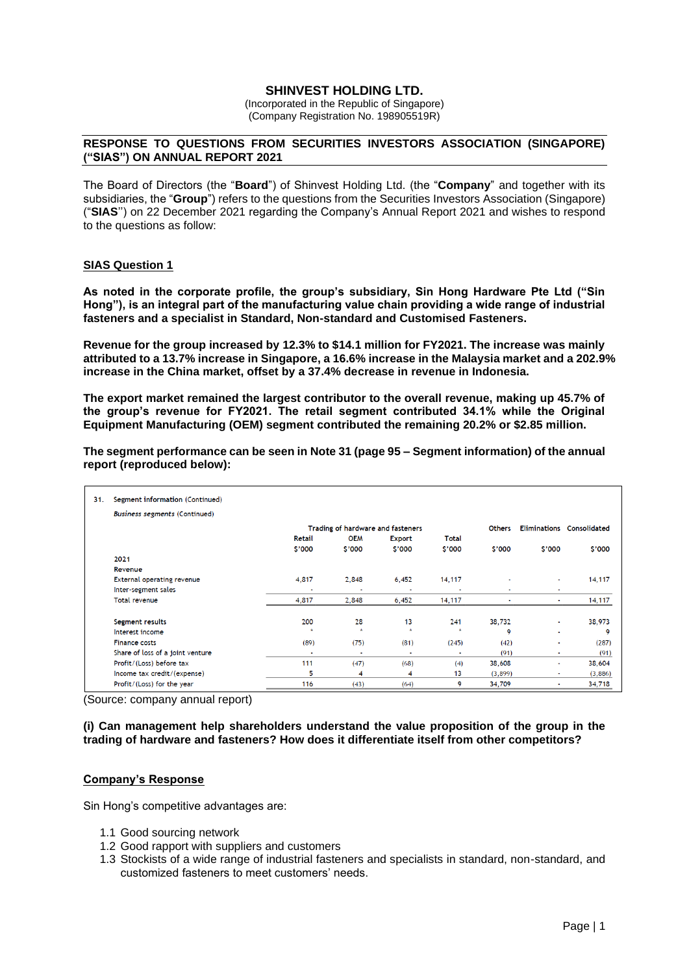# **SHINVEST HOLDING LTD.**

(Incorporated in the Republic of Singapore) (Company Registration No. 198905519R)

## **RESPONSE TO QUESTIONS FROM SECURITIES INVESTORS ASSOCIATION (SINGAPORE) ("SIAS") ON ANNUAL REPORT 2021**

The Board of Directors (the "**Board**") of Shinvest Holding Ltd. (the "**Company**" and together with its subsidiaries, the "**Group**") refers to the questions from the Securities Investors Association (Singapore) ("**SIAS**'') on 22 December 2021 regarding the Company's Annual Report 2021 and wishes to respond to the questions as follow:

## **SIAS Question 1**

**As noted in the corporate profile, the group's subsidiary, Sin Hong Hardware Pte Ltd ("Sin Hong"), is an integral part of the manufacturing value chain providing a wide range of industrial fasteners and a specialist in Standard, Non-standard and Customised Fasteners.** 

**Revenue for the group increased by 12.3% to \$14.1 million for FY2021. The increase was mainly attributed to a 13.7% increase in Singapore, a 16.6% increase in the Malaysia market and a 202.9% increase in the China market, offset by a 37.4% decrease in revenue in Indonesia.** 

**The export market remained the largest contributor to the overall revenue, making up 45.7% of the group's revenue for FY2021. The retail segment contributed 34.1% while the Original Equipment Manufacturing (OEM) segment contributed the remaining 20.2% or \$2.85 million.** 

| The segment performance can be seen in Note 31 (page 95 – Segment information) of the annual |
|----------------------------------------------------------------------------------------------|
| report (reproduced below):                                                                   |

| 31. | Segment information (Continued)      |                                   |                |                          |                |                |                |                                  |
|-----|--------------------------------------|-----------------------------------|----------------|--------------------------|----------------|----------------|----------------|----------------------------------|
|     | <b>Business segments (Continued)</b> |                                   |                |                          |                |                |                |                                  |
|     |                                      | Trading of hardware and fasteners |                |                          |                | <b>Others</b>  |                | <b>Eliminations Consolidated</b> |
|     |                                      | Retail                            | <b>OEM</b>     | <b>Export</b>            | Total          |                |                |                                  |
|     |                                      | \$'000                            | \$'000         | \$'000                   | \$'000         | \$'000         | \$'000         | \$'000                           |
|     | 2021                                 |                                   |                |                          |                |                |                |                                  |
|     | Revenue                              |                                   |                |                          |                |                |                |                                  |
|     | <b>External operating revenue</b>    | 4,817                             | 2,848          | 6,452                    | 14,117         | $\blacksquare$ | ٠              | 14,117                           |
|     | Inter-segment sales                  |                                   | $\overline{a}$ | $\overline{\phantom{a}}$ | ×              | $\sim$         | $\sim$         |                                  |
|     | <b>Total revenue</b>                 | 4,817                             | 2,848          | 6,452                    | 14,117         | ٠              | ٠              | 14,117                           |
|     | Segment results                      | 200                               | 28             | 13                       | 241            | 38,732         | ۰              | 38,973                           |
|     | Interest income                      | ÷                                 | $\star$        | $\pm$                    | ÷              | 9              | ٠              | 9                                |
|     | <b>Finance costs</b>                 | (89)                              | (75)           | (81)                     | (245)          | (42)           | ٠              | (287)                            |
|     | Share of loss of a joint venture     | $\overline{\phantom{a}}$          | ٠.             | $\blacksquare$           | $\blacksquare$ | (91)           | ٠              | (91)                             |
|     | Profit/(Loss) before tax             | 111                               | (47)           | (68)                     | (4)            | 38,608         | ä,             | 38,604                           |
|     | Income tax credit/(expense)          | 5                                 | 4              | 4                        | 13             | (3,899)        | $\blacksquare$ | (3,886)                          |
|     | Profit/(Loss) for the year           | 116                               | (43)           | (64)                     | 9              | 34,709         | ۰              | 34,718                           |

(Source: company annual report)

## **(i) Can management help shareholders understand the value proposition of the group in the trading of hardware and fasteners? How does it differentiate itself from other competitors?**

## **Company's Response**

Sin Hong's competitive advantages are:

- 1.1 Good sourcing network
- 1.2 Good rapport with suppliers and customers
- 1.3 Stockists of a wide range of industrial fasteners and specialists in standard, non-standard, and customized fasteners to meet customers' needs.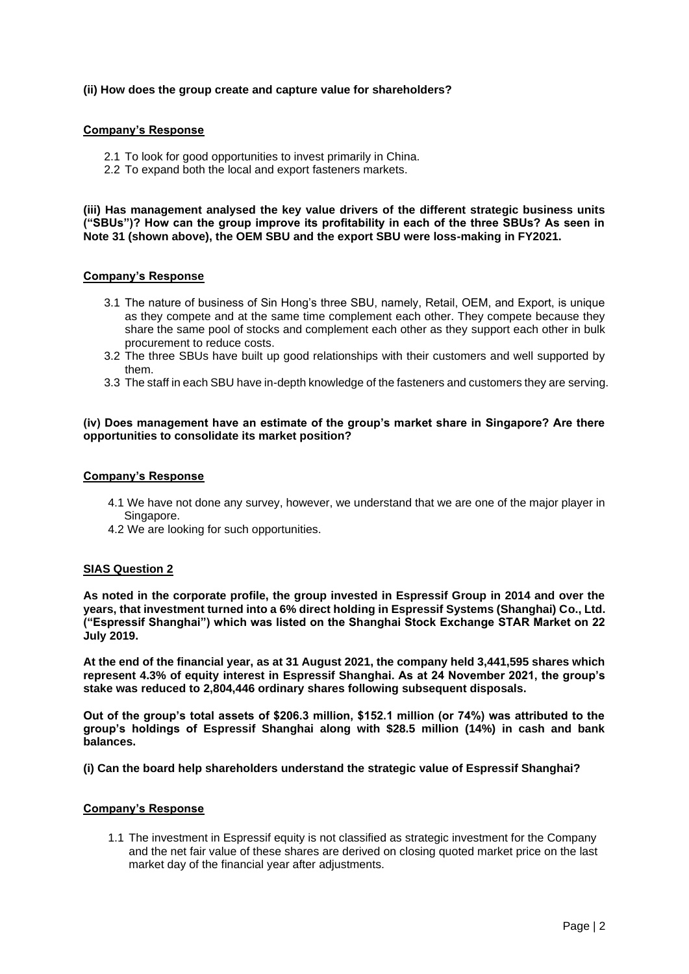## **(ii) How does the group create and capture value for shareholders?**

## **Company's Response**

- 2.1 To look for good opportunities to invest primarily in China.
- 2.2 To expand both the local and export fasteners markets.

**(iii) Has management analysed the key value drivers of the different strategic business units ("SBUs")? How can the group improve its profitability in each of the three SBUs? As seen in Note 31 (shown above), the OEM SBU and the export SBU were loss-making in FY2021.**

## **Company's Response**

- 3.1 The nature of business of Sin Hong's three SBU, namely, Retail, OEM, and Export, is unique as they compete and at the same time complement each other. They compete because they share the same pool of stocks and complement each other as they support each other in bulk procurement to reduce costs.
- 3.2 The three SBUs have built up good relationships with their customers and well supported by them.
- 3.3 The staff in each SBU have in-depth knowledge of the fasteners and customers they are serving.

## **(iv) Does management have an estimate of the group's market share in Singapore? Are there opportunities to consolidate its market position?**

## **Company's Response**

- 4.1 We have not done any survey, however, we understand that we are one of the major player in Singapore.
- 4.2 We are looking for such opportunities.

## **SIAS Question 2**

**As noted in the corporate profile, the group invested in Espressif Group in 2014 and over the years, that investment turned into a 6% direct holding in Espressif Systems (Shanghai) Co., Ltd. ("Espressif Shanghai") which was listed on the Shanghai Stock Exchange STAR Market on 22 July 2019.**

**At the end of the financial year, as at 31 August 2021, the company held 3,441,595 shares which represent 4.3% of equity interest in Espressif Shanghai. As at 24 November 2021, the group's stake was reduced to 2,804,446 ordinary shares following subsequent disposals.**

**Out of the group's total assets of \$206.3 million, \$152.1 million (or 74%) was attributed to the group's holdings of Espressif Shanghai along with \$28.5 million (14%) in cash and bank balances.**

**(i) Can the board help shareholders understand the strategic value of Espressif Shanghai?**

## **Company's Response**

1.1 The investment in Espressif equity is not classified as strategic investment for the Company and the net fair value of these shares are derived on closing quoted market price on the last market day of the financial year after adjustments.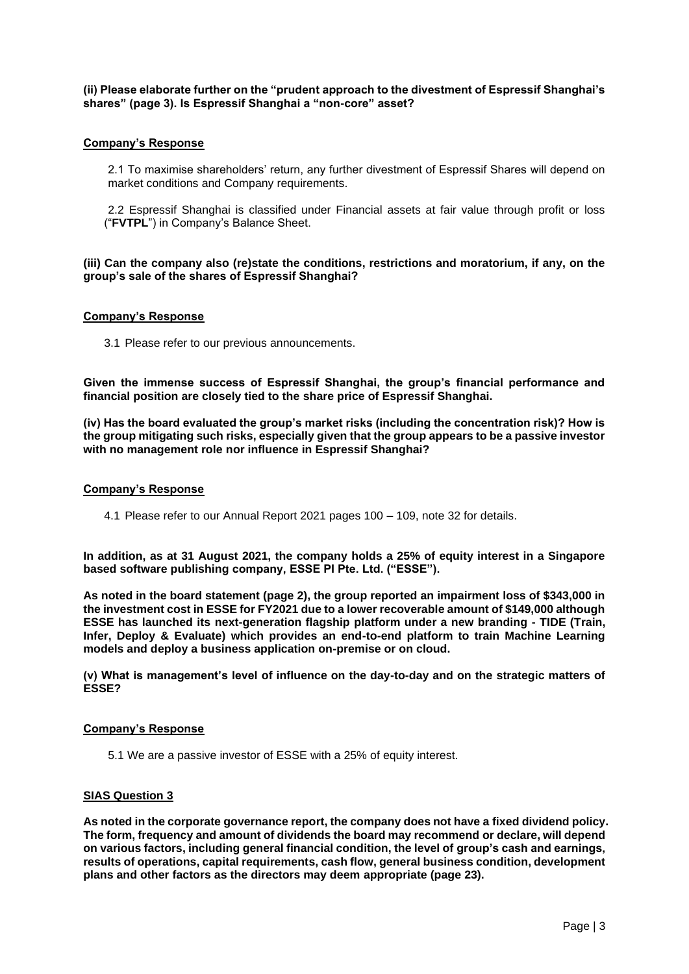**(ii) Please elaborate further on the "prudent approach to the divestment of Espressif Shanghai's shares" (page 3). Is Espressif Shanghai a "non-core" asset?**

## **Company's Response**

2.1 To maximise shareholders' return, any further divestment of Espressif Shares will depend on market conditions and Company requirements.

2.2 Espressif Shanghai is classified under Financial assets at fair value through profit or loss ("**FVTPL**") in Company's Balance Sheet.

**(iii) Can the company also (re)state the conditions, restrictions and moratorium, if any, on the group's sale of the shares of Espressif Shanghai?** 

## **Company's Response**

3.1 Please refer to our previous announcements.

**Given the immense success of Espressif Shanghai, the group's financial performance and financial position are closely tied to the share price of Espressif Shanghai.**

**(iv) Has the board evaluated the group's market risks (including the concentration risk)? How is the group mitigating such risks, especially given that the group appears to be a passive investor with no management role nor influence in Espressif Shanghai?**

#### **Company's Response**

4.1 Please refer to our Annual Report 2021 pages 100 – 109, note 32 for details.

**In addition, as at 31 August 2021, the company holds a 25% of equity interest in a Singapore based software publishing company, ESSE PI Pte. Ltd. ("ESSE").**

**As noted in the board statement (page 2), the group reported an impairment loss of \$343,000 in the investment cost in ESSE for FY2021 due to a lower recoverable amount of \$149,000 although ESSE has launched its next-generation flagship platform under a new branding - TIDE (Train, Infer, Deploy & Evaluate) which provides an end-to-end platform to train Machine Learning models and deploy a business application on-premise or on cloud.**

**(v) What is management's level of influence on the day-to-day and on the strategic matters of ESSE?**

## **Company's Response**

5.1 We are a passive investor of ESSE with a 25% of equity interest.

## **SIAS Question 3**

**As noted in the corporate governance report, the company does not have a fixed dividend policy. The form, frequency and amount of dividends the board may recommend or declare, will depend on various factors, including general financial condition, the level of group's cash and earnings, results of operations, capital requirements, cash flow, general business condition, development plans and other factors as the directors may deem appropriate (page 23).**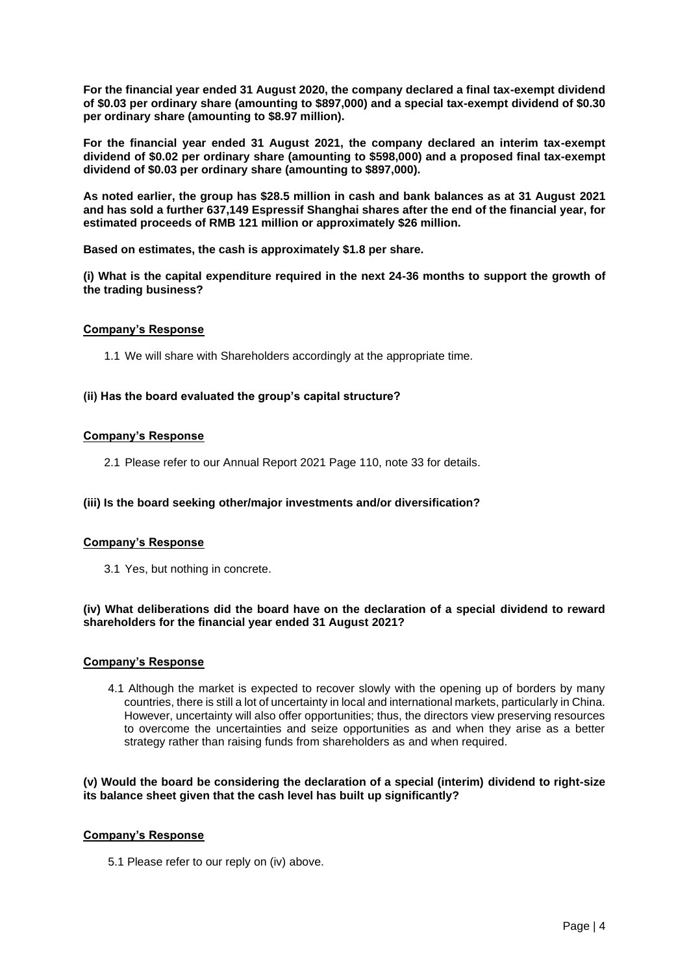**For the financial year ended 31 August 2020, the company declared a final tax-exempt dividend of \$0.03 per ordinary share (amounting to \$897,000) and a special tax-exempt dividend of \$0.30 per ordinary share (amounting to \$8.97 million).**

**For the financial year ended 31 August 2021, the company declared an interim tax-exempt dividend of \$0.02 per ordinary share (amounting to \$598,000) and a proposed final tax-exempt dividend of \$0.03 per ordinary share (amounting to \$897,000).**

**As noted earlier, the group has \$28.5 million in cash and bank balances as at 31 August 2021 and has sold a further 637,149 Espressif Shanghai shares after the end of the financial year, for estimated proceeds of RMB 121 million or approximately \$26 million.**

**Based on estimates, the cash is approximately \$1.8 per share.**

**(i) What is the capital expenditure required in the next 24-36 months to support the growth of the trading business?**

## **Company's Response**

1.1 We will share with Shareholders accordingly at the appropriate time.

## **(ii) Has the board evaluated the group's capital structure?**

## **Company's Response**

2.1 Please refer to our Annual Report 2021 Page 110, note 33 for details.

# **(iii) Is the board seeking other/major investments and/or diversification?**

## **Company's Response**

3.1 Yes, but nothing in concrete.

## **(iv) What deliberations did the board have on the declaration of a special dividend to reward shareholders for the financial year ended 31 August 2021?**

## **Company's Response**

4.1 Although the market is expected to recover slowly with the opening up of borders by many countries, there is still a lot of uncertainty in local and international markets, particularly in China. However, uncertainty will also offer opportunities; thus, the directors view preserving resources to overcome the uncertainties and seize opportunities as and when they arise as a better strategy rather than raising funds from shareholders as and when required.

# **(v) Would the board be considering the declaration of a special (interim) dividend to right-size its balance sheet given that the cash level has built up significantly?**

# **Company's Response**

5.1 Please refer to our reply on (iv) above.